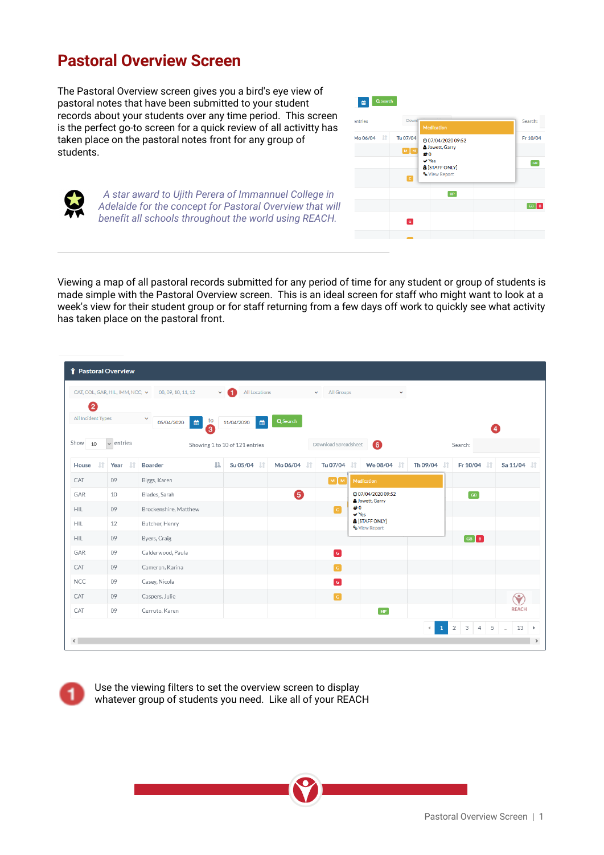## **Pastoral Overview Screen**

The Pastoral Overview screen gives you a bird's eye view of pastoral notes that have been submitted to your student records about your students over any time period. This screen is the perfect go-to screen for a quick review of all activitty has taken place on the pastoral notes front for any group of students.



 *A star award to Ujith Perera of Immannuel College in Adelaide for the concept for Pastoral Overview that will benefit all schools throughout the world using REACH.*

Viewing a map of all pastoral records submitted for any period of time for any student or group of students is made simple with the Pastoral Overview screen. This is an ideal screen for staff who might want to look at a week's view for their student group or for staff returning from a few days off work to quickly see what activity has taken place on the pastoral front.

| CAT, COL, GAR, HIL, IMM, NCC, V |                | 08, 09, 10, 11, 12<br>v.                           | All Locations                                                                                           |          | All Groups<br>$\checkmark$<br>$\checkmark$ |                                            |                         |                                      |                      |
|---------------------------------|----------------|----------------------------------------------------|---------------------------------------------------------------------------------------------------------|----------|--------------------------------------------|--------------------------------------------|-------------------------|--------------------------------------|----------------------|
| 2                               |                |                                                    |                                                                                                         |          |                                            |                                            |                         |                                      |                      |
| All Incident Types              |                | $\checkmark$<br>$\blacksquare$<br>to<br>05/04/2020 | $\begin{matrix} \begin{matrix} 0 \\ 0 \\ 0 \\ 0 \\ 0 \\ 0 \\ 0 \end{matrix} \end{matrix}$<br>11/04/2020 | Q Search |                                            |                                            |                         |                                      |                      |
| $Show$ 10                       | $\vee$ entries | 3                                                  | Showing 1 to 10 of 121 entries                                                                          |          | Download Spreadsheet                       | $\bullet$                                  |                         | 4<br>Search:                         |                      |
| 1Ť<br>House                     | $\pm$<br>Year  | 韭<br><b>Boarder</b>                                | Su 05/04                                                                                                | Mo 06/04 | Tu 07/04                                   | We 08/04<br>- Lî<br>-lt                    | Th 09/04<br>- LT        | Fr 10/04 LT                          | Sa 11/04             |
| CAT                             | 09             | Biggs, Karen                                       |                                                                                                         |          | MM                                         | Medication                                 |                         |                                      |                      |
| GAR                             | 10             | Blades, Sarah                                      |                                                                                                         | 6        |                                            | @07/04/202009:52<br>Jowett, Garry          |                         | GB                                   |                      |
| <b>HIL</b>                      | 09             | Brockenshire, Matthew                              |                                                                                                         |          | $\overline{c}$                             | #0<br>$\vee$ Yes                           |                         |                                      |                      |
| <b>HIL</b>                      | 12             | Butcher, Henry                                     |                                                                                                         |          |                                            | <b>&amp; [STAFF ONLY]</b><br>% View Report |                         |                                      |                      |
| <b>HIL</b>                      | 09             | Byers, Craig                                       |                                                                                                         |          |                                            |                                            |                         | $GE$ $B$                             |                      |
| GAR                             | 09             | Calderwood, Paula                                  |                                                                                                         |          | $\boxed{G}$                                |                                            |                         |                                      |                      |
| CAT                             | 09             | Cameron, Karina                                    |                                                                                                         |          | $\overline{c}$                             |                                            |                         |                                      |                      |
| <b>NCC</b>                      | 09             | Casey, Nicola                                      |                                                                                                         |          | $\overline{G}$                             |                                            |                         |                                      |                      |
| CAT                             | 09             | Caspers, Julie                                     |                                                                                                         |          | $\overline{G}$                             |                                            |                         |                                      | $\bullet$            |
| CAT                             | 09             | Cerruto, Karen                                     |                                                                                                         |          |                                            | HP                                         |                         |                                      | <b>REACH</b>         |
|                                 |                |                                                    |                                                                                                         |          |                                            |                                            | $\,$ 1 $\,$<br>$\left($ | 2<br>$3-1$<br>$-4$<br>5 <sup>1</sup> | 13<br>$\,$<br>$\sim$ |

Use the viewing filters to set the overview screen to display whatever group of students you need. Like all of your REACH